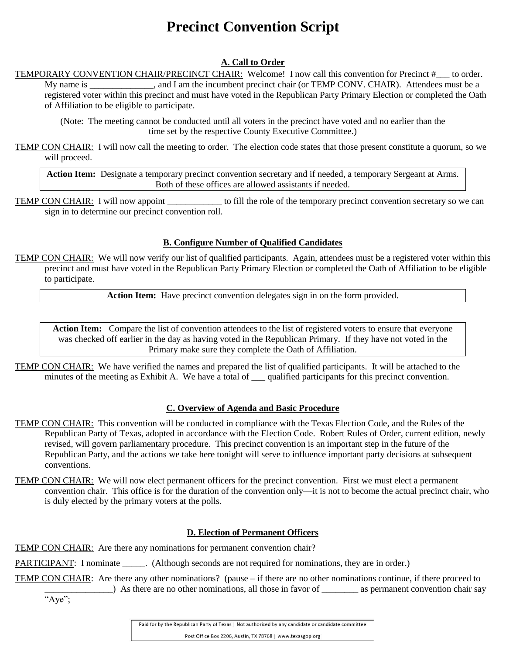# **Precinct Convention Script**

# **A. Call to Order**

TEMPORARY CONVENTION CHAIR/PRECINCT CHAIR: Welcome! I now call this convention for Precinct #\_\_\_ to order. My name is equal and I am the incumbent precinct chair (or TEMP CONV. CHAIR). Attendees must be a registered voter within this precinct and must have voted in the Republican Party Primary Election or completed the Oath of Affiliation to be eligible to participate.

(Note: The meeting cannot be conducted until all voters in the precinct have voted and no earlier than the time set by the respective County Executive Committee.)

TEMP CON CHAIR: I will now call the meeting to order. The election code states that those present constitute a quorum, so we will proceed.

**Action Item:** Designate a temporary precinct convention secretary and if needed, a temporary Sergeant at Arms. Both of these offices are allowed assistants if needed.

TEMP CON CHAIR: I will now appoint to fill the role of the temporary precinct convention secretary so we can sign in to determine our precinct convention roll.

# **B. Configure Number of Qualified Candidates**

TEMP CON CHAIR: We will now verify our list of qualified participants. Again, attendees must be a registered voter within this precinct and must have voted in the Republican Party Primary Election or completed the Oath of Affiliation to be eligible to participate.

**Action Item:** Have precinct convention delegates sign in on the form provided.

**Action Item:** Compare the list of convention attendees to the list of registered voters to ensure that everyone was checked off earlier in the day as having voted in the Republican Primary. If they have not voted in the Primary make sure they complete the Oath of Affiliation.

TEMP CON CHAIR: We have verified the names and prepared the list of qualified participants. It will be attached to the minutes of the meeting as Exhibit A. We have a total of \_\_\_ qualified participants for this precinct convention.

# **C. Overview of Agenda and Basic Procedure**

- TEMP CON CHAIR: This convention will be conducted in compliance with the Texas Election Code, and the Rules of the Republican Party of Texas, adopted in accordance with the Election Code. Robert Rules of Order, current edition, newly revised, will govern parliamentary procedure. This precinct convention is an important step in the future of the Republican Party, and the actions we take here tonight will serve to influence important party decisions at subsequent conventions.
- TEMP CON CHAIR: We will now elect permanent officers for the precinct convention. First we must elect a permanent convention chair. This office is for the duration of the convention only—it is not to become the actual precinct chair, who is duly elected by the primary voters at the polls.

# **D. Election of Permanent Officers**

TEMP CON CHAIR: Are there any nominations for permanent convention chair?

PARTICIPANT: I nominate \_\_\_\_\_. (Although seconds are not required for nominations, they are in order.)

TEMP CON CHAIR: Are there any other nominations? (pause – if there are no other nominations continue, if there proceed to ) As there are no other nominations, all those in favor of as permanent convention chair say

"Aye";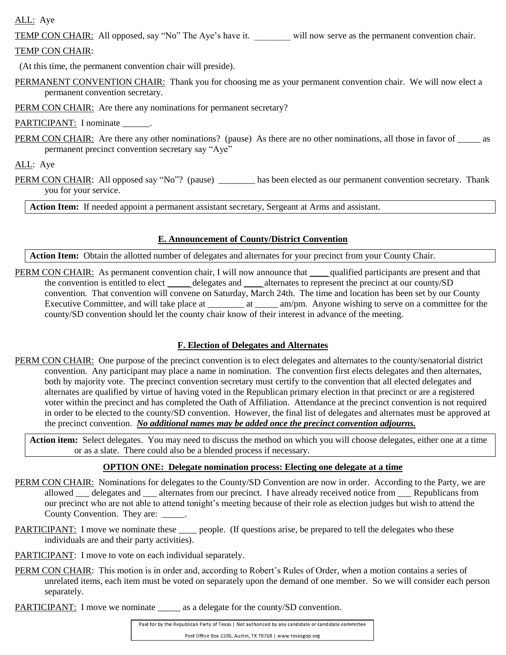## ALL: Aye

TEMP CON CHAIR: All opposed, say "No" The Aye's have it. will now serve as the permanent convention chair.

#### TEMP CON CHAIR:

(At this time, the permanent convention chair will preside).

PERMANENT CONVENTION CHAIR: Thank you for choosing me as your permanent convention chair. We will now elect a permanent convention secretary.

PERM CON CHAIR: Are there any nominations for permanent secretary?

PARTICIPANT: I nominate \_\_\_\_\_\_.

PERM CON CHAIR: Are there any other nominations? (pause) As there are no other nominations, all those in favor of as permanent precinct convention secretary say "Aye"

## ALL: Aye

PERM CON CHAIR: All opposed say "No"? (pause) \_\_\_\_\_\_\_ has been elected as our permanent convention secretary. Thank you for your service.

**Action Item:** If needed appoint a permanent assistant secretary, Sergeant at Arms and assistant.

#### **E. Announcement of County/District Convention**

**Action Item:** Obtain the allotted number of delegates and alternates for your precinct from your County Chair.

PERM CON CHAIR: As permanent convention chair, I will now announce that qualified participants are present and that the convention is entitled to elect delegates and alternates to represent the precinct at our county/SD convention. That convention will convene on Saturday, March 24th. The time and location has been set by our County Executive Committee, and will take place at \_\_\_\_\_\_\_\_\_ at \_\_\_\_\_\_ am/pm. Anyone wishing to serve on a committee for the county/SD convention should let the county chair know of their interest in advance of the meeting.

## **F. Election of Delegates and Alternates**

PERM CON CHAIR: One purpose of the precinct convention is to elect delegates and alternates to the county/senatorial district convention. Any participant may place a name in nomination. The convention first elects delegates and then alternates, both by majority vote.The precinct convention secretary must certify to the convention that all elected delegates and alternates are qualified by virtue of having voted in the Republican primary election in that precinct or are a registered voter within the precinct and has completed the Oath of Affiliation. Attendance at the precinct convention is not required in order to be elected to the county/SD convention. However, the final list of delegates and alternates must be approved at the precinct convention. *No additional names may be added once the precinct convention adjourns.*

**Action item:** Select delegates. You may need to discuss the method on which you will choose delegates, either one at a time or as a slate. There could also be a blended process if necessary.

## **OPTION ONE: Delegate nomination process: Electing one delegate at a time**

- PERM CON CHAIR: Nominations for delegates to the County/SD Convention are now in order. According to the Party, we are allowed \_\_\_ delegates and \_\_\_ alternates from our precinct. I have already received notice from \_\_\_ Republicans from our precinct who are not able to attend tonight's meeting because of their role as election judges but wish to attend the County Convention. They are:
- PARTICIPANT: I move we nominate these same people. (If questions arise, be prepared to tell the delegates who these individuals are and their party activities).
- PARTICIPANT: I move to vote on each individual separately.
- PERM CON CHAIR: This motion is in order and, according to Robert's Rules of Order, when a motion contains a series of unrelated items, each item must be voted on separately upon the demand of one member. So we will consider each person separately.

PARTICIPANT: I move we nominate \_\_\_\_\_\_ as a delegate for the county/SD convention.

Paid for by the Republican Party of Texas | Not authorized by any candidate or candidate committee Post Office Box 2206, Austin, TX 78768 | www.texasgop.org